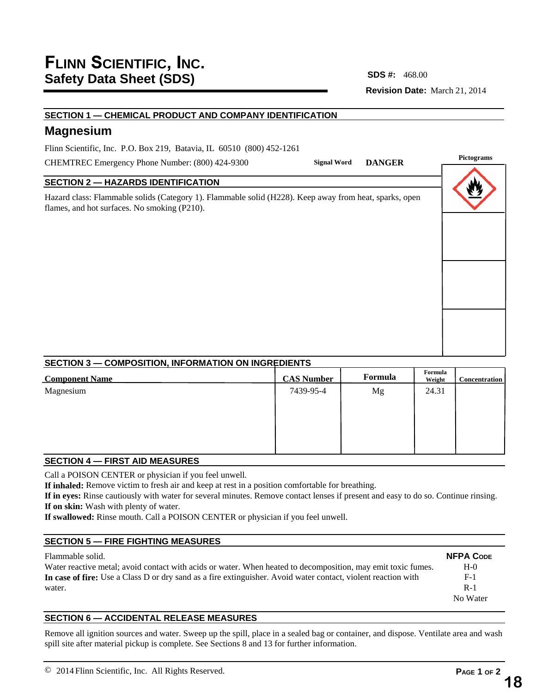**Revision Date:** March 21, 2014 **SDS #:**

## **SECTION 1 — CHEMICAL PRODUCT AND COMPANY IDENTIFICATION**

# **Magnesium**

Flinn Scientific, Inc. P.O. Box 219, Batavia, IL 60510 (800) 452-1261

CHEMTREC Emergency Phone Number: (800) 424-9300

## **SECTION 2 — HAZARDS IDENTIFICATION**

Hazard class: Flammable solids (Category 1). Flammable solid (H228). Keep away from heat, sparks, open flames, and hot surfaces. No smoking (P210).

| Signal Word DANGER             | <b>Pictograms</b> |  |  |
|--------------------------------|-------------------|--|--|
|                                |                   |  |  |
| p away from heat, sparks, open |                   |  |  |
|                                |                   |  |  |
|                                |                   |  |  |
|                                |                   |  |  |
|                                |                   |  |  |
|                                |                   |  |  |
|                                |                   |  |  |

#### **SECTION 3 — COMPOSITION, INFORMATION ON INGREDIENTS**

| <b>Component Name</b> | <b>CAS Number</b> | Formula | Formula<br>Weight | <b>Concentration</b> |
|-----------------------|-------------------|---------|-------------------|----------------------|
| Magnesium             | 7439-95-4         | Mg      | 24.31             |                      |
|                       |                   |         |                   |                      |
|                       |                   |         |                   |                      |
|                       |                   |         |                   |                      |

#### **SECTION 4 — FIRST AID MEASURES**

Call a POISON CENTER or physician if you feel unwell.

**If inhaled:** Remove victim to fresh air and keep at rest in a position comfortable for breathing.

**If in eyes:** Rinse cautiously with water for several minutes. Remove contact lenses if present and easy to do so. Continue rinsing. **If on skin:** Wash with plenty of water.

**If swallowed:** Rinse mouth. Call a POISON CENTER or physician if you feel unwell.

## **SECTION 5 — FIRE FIGHTING MEASURES**

#### Flammable solid. Water reactive metal; avoid contact with acids or water. When heated to decomposition, may emit toxic fumes. **In case of fire:** Use a Class D or dry sand as a fire extinguisher. Avoid water contact, violent reaction with water. **NFPA CODE**  $H<sub>-0</sub>$ F-1 R-1 No Water

## **SECTION 6 — ACCIDENTAL RELEASE MEASURES**

Remove all ignition sources and water. Sweep up the spill, place in a sealed bag or container, and dispose. Ventilate area and wash spill site after material pickup is complete. See Sections 8 and 13 for further information.